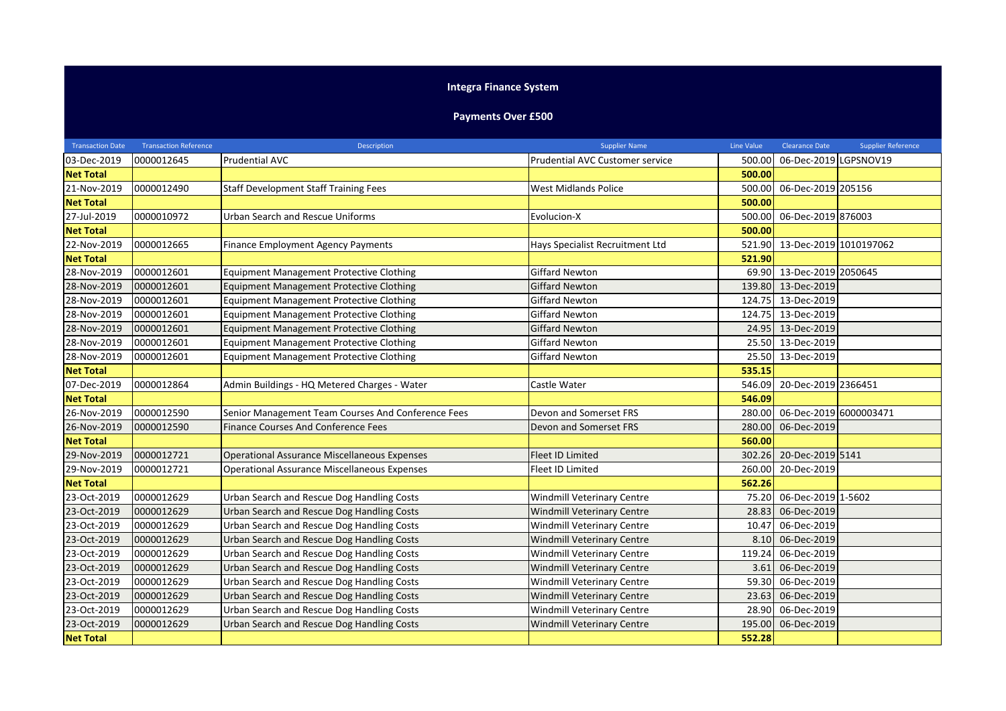## **Integra Finance System**

## **Payments Over £500**

| <b>Transaction Date</b> | <b>Transaction Reference</b> | Description                                         | <b>Supplier Name</b>              | Line Value | <b>Clearance Date</b>     | <b>Supplier Reference</b> |
|-------------------------|------------------------------|-----------------------------------------------------|-----------------------------------|------------|---------------------------|---------------------------|
| 03-Dec-2019             | 0000012645                   | <b>Prudential AVC</b>                               | Prudential AVC Customer service   | 500.00     | 06-Dec-2019 LGPSNOV19     |                           |
| <b>Net Total</b>        |                              |                                                     |                                   | 500.00     |                           |                           |
| 21-Nov-2019             | 0000012490                   | <b>Staff Development Staff Training Fees</b>        | <b>West Midlands Police</b>       | 500.00     | 06-Dec-2019 205156        |                           |
| <b>Net Total</b>        |                              |                                                     |                                   | 500.00     |                           |                           |
| 27-Jul-2019             | 0000010972                   | Urban Search and Rescue Uniforms                    | Evolucion-X                       | 500.00     | 06-Dec-2019 876003        |                           |
| <b>Net Total</b>        |                              |                                                     |                                   | 500.00     |                           |                           |
| 22-Nov-2019             | 0000012665                   | Finance Employment Agency Payments                  | Hays Specialist Recruitment Ltd   | 521.90     | 13-Dec-2019 1010197062    |                           |
| <b>Net Total</b>        |                              |                                                     |                                   | 521.90     |                           |                           |
| 28-Nov-2019             | 0000012601                   | Equipment Management Protective Clothing            | <b>Giffard Newton</b>             |            | 69.90 13-Dec-2019 2050645 |                           |
| 28-Nov-2019             | 0000012601                   | Equipment Management Protective Clothing            | <b>Giffard Newton</b>             |            | 139.80 13-Dec-2019        |                           |
| 28-Nov-2019             | 0000012601                   | Equipment Management Protective Clothing            | <b>Giffard Newton</b>             |            | 124.75 13-Dec-2019        |                           |
| 28-Nov-2019             | 0000012601                   | <b>Equipment Management Protective Clothing</b>     | <b>Giffard Newton</b>             |            | 124.75 13-Dec-2019        |                           |
| 28-Nov-2019             | 0000012601                   | Equipment Management Protective Clothing            | <b>Giffard Newton</b>             |            | 24.95 13-Dec-2019         |                           |
| 28-Nov-2019             | 0000012601                   | <b>Equipment Management Protective Clothing</b>     | <b>Giffard Newton</b>             |            | 25.50 13-Dec-2019         |                           |
| 28-Nov-2019             | 0000012601                   | <b>Equipment Management Protective Clothing</b>     | <b>Giffard Newton</b>             | 25.50      | 13-Dec-2019               |                           |
| <b>Net Total</b>        |                              |                                                     |                                   | 535.15     |                           |                           |
| 07-Dec-2019             | 0000012864                   | Admin Buildings - HQ Metered Charges - Water        | <b>Castle Water</b>               | 546.09     | 20-Dec-2019 2366451       |                           |
| <b>Net Total</b>        |                              |                                                     |                                   | 546.09     |                           |                           |
| 26-Nov-2019             | 0000012590                   | Senior Management Team Courses And Conference Fees  | Devon and Somerset FRS            | 280.00     | 06-Dec-2019 6000003471    |                           |
| 26-Nov-2019             | 0000012590                   | Finance Courses And Conference Fees                 | Devon and Somerset FRS            | 280.00     | 06-Dec-2019               |                           |
| <b>Net Total</b>        |                              |                                                     |                                   | 560.00     |                           |                           |
| 29-Nov-2019             | 0000012721                   | <b>Operational Assurance Miscellaneous Expenses</b> | <b>Fleet ID Limited</b>           |            | 302.26 20-Dec-2019 5141   |                           |
| 29-Nov-2019             | 0000012721                   | <b>Operational Assurance Miscellaneous Expenses</b> | <b>Fleet ID Limited</b>           | 260.00     | 20-Dec-2019               |                           |
| <b>Net Total</b>        |                              |                                                     |                                   | 562.26     |                           |                           |
| 23-Oct-2019             | 0000012629                   | Urban Search and Rescue Dog Handling Costs          | <b>Windmill Veterinary Centre</b> | 75.20      | 06-Dec-2019 1-5602        |                           |
| 23-Oct-2019             | 0000012629                   | Urban Search and Rescue Dog Handling Costs          | <b>Windmill Veterinary Centre</b> | 28.83      | 06-Dec-2019               |                           |
| 23-Oct-2019             | 0000012629                   | Urban Search and Rescue Dog Handling Costs          | <b>Windmill Veterinary Centre</b> | 10.47      | 06-Dec-2019               |                           |
| 23-Oct-2019             | 0000012629                   | Urban Search and Rescue Dog Handling Costs          | <b>Windmill Veterinary Centre</b> | 8.10       | 06-Dec-2019               |                           |
| 23-Oct-2019             | 0000012629                   | Urban Search and Rescue Dog Handling Costs          | <b>Windmill Veterinary Centre</b> | 119.24     | 06-Dec-2019               |                           |
| 23-Oct-2019             | 0000012629                   | Urban Search and Rescue Dog Handling Costs          | <b>Windmill Veterinary Centre</b> | 3.61       | 06-Dec-2019               |                           |
| 23-Oct-2019             | 0000012629                   | Urban Search and Rescue Dog Handling Costs          | <b>Windmill Veterinary Centre</b> |            | 59.30 06-Dec-2019         |                           |
| 23-Oct-2019             | 0000012629                   | Urban Search and Rescue Dog Handling Costs          | <b>Windmill Veterinary Centre</b> | 23.63      | 06-Dec-2019               |                           |
| 23-Oct-2019             | 0000012629                   | Urban Search and Rescue Dog Handling Costs          | <b>Windmill Veterinary Centre</b> | 28.90      | 06-Dec-2019               |                           |
| 23-Oct-2019             | 0000012629                   | Urban Search and Rescue Dog Handling Costs          | <b>Windmill Veterinary Centre</b> | 195.00     | 06-Dec-2019               |                           |
| <b>Net Total</b>        |                              |                                                     |                                   | 552.28     |                           |                           |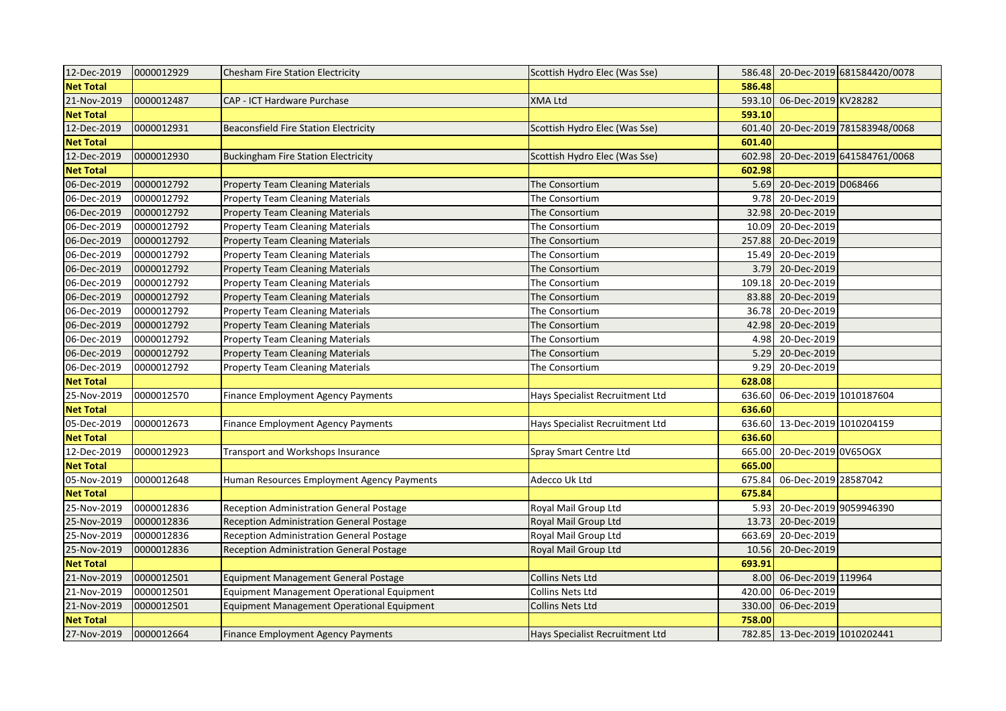| 12-Dec-2019      | 0000012929 | Chesham Fire Station Electricity             | Scottish Hydro Elec (Was Sse)   |        |                               | 586.48 20-Dec-2019 681584420/0078 |
|------------------|------------|----------------------------------------------|---------------------------------|--------|-------------------------------|-----------------------------------|
| <b>Net Total</b> |            |                                              |                                 | 586.48 |                               |                                   |
| 21-Nov-2019      | 0000012487 | CAP - ICT Hardware Purchase                  | <b>XMA Ltd</b>                  | 593.10 | 06-Dec-2019 KV28282           |                                   |
| <b>Net Total</b> |            |                                              |                                 | 593.10 |                               |                                   |
| 12-Dec-2019      | 0000012931 | <b>Beaconsfield Fire Station Electricity</b> | Scottish Hydro Elec (Was Sse)   |        |                               | 601.40 20-Dec-2019 781583948/0068 |
| <b>Net Total</b> |            |                                              |                                 | 601.40 |                               |                                   |
| 12-Dec-2019      | 0000012930 | <b>Buckingham Fire Station Electricity</b>   | Scottish Hydro Elec (Was Sse)   |        |                               | 602.98 20-Dec-2019 641584761/0068 |
| <b>Net Total</b> |            |                                              |                                 | 602.98 |                               |                                   |
| 06-Dec-2019      | 0000012792 | <b>Property Team Cleaning Materials</b>      | The Consortium                  | 5.69   | 20-Dec-2019 D068466           |                                   |
| 06-Dec-2019      | 0000012792 | <b>Property Team Cleaning Materials</b>      | The Consortium                  | 9.78   | 20-Dec-2019                   |                                   |
| 06-Dec-2019      | 0000012792 | <b>Property Team Cleaning Materials</b>      | The Consortium                  |        | 32.98 20-Dec-2019             |                                   |
| 06-Dec-2019      | 0000012792 | <b>Property Team Cleaning Materials</b>      | The Consortium                  |        | 10.09 20-Dec-2019             |                                   |
| 06-Dec-2019      | 0000012792 | <b>Property Team Cleaning Materials</b>      | The Consortium                  |        | 257.88 20-Dec-2019            |                                   |
| 06-Dec-2019      | 0000012792 | <b>Property Team Cleaning Materials</b>      | The Consortium                  | 15.49  | 20-Dec-2019                   |                                   |
| 06-Dec-2019      | 0000012792 | <b>Property Team Cleaning Materials</b>      | The Consortium                  | 3.79   | 20-Dec-2019                   |                                   |
| 06-Dec-2019      | 0000012792 | <b>Property Team Cleaning Materials</b>      | The Consortium                  | 109.18 | 20-Dec-2019                   |                                   |
| 06-Dec-2019      | 0000012792 | <b>Property Team Cleaning Materials</b>      | The Consortium                  |        | 83.88 20-Dec-2019             |                                   |
| 06-Dec-2019      | 0000012792 | <b>Property Team Cleaning Materials</b>      | The Consortium                  | 36.78  | 20-Dec-2019                   |                                   |
| 06-Dec-2019      | 0000012792 | <b>Property Team Cleaning Materials</b>      | The Consortium                  | 42.98  | 20-Dec-2019                   |                                   |
| 06-Dec-2019      | 0000012792 | <b>Property Team Cleaning Materials</b>      | The Consortium                  | 4.98   | 20-Dec-2019                   |                                   |
| 06-Dec-2019      | 0000012792 | <b>Property Team Cleaning Materials</b>      | The Consortium                  | 5.29   | 20-Dec-2019                   |                                   |
| 06-Dec-2019      | 0000012792 | <b>Property Team Cleaning Materials</b>      | The Consortium                  | 9.29   | 20-Dec-2019                   |                                   |
| <b>Net Total</b> |            |                                              |                                 | 628.08 |                               |                                   |
| 25-Nov-2019      | 0000012570 | Finance Employment Agency Payments           | Hays Specialist Recruitment Ltd | 636.60 | 06-Dec-2019 1010187604        |                                   |
| <b>Net Total</b> |            |                                              |                                 | 636.60 |                               |                                   |
| 05-Dec-2019      | 0000012673 | Finance Employment Agency Payments           | Hays Specialist Recruitment Ltd |        | 636.60 13-Dec-2019 1010204159 |                                   |
| <b>Net Total</b> |            |                                              |                                 | 636.60 |                               |                                   |
| 12-Dec-2019      | 0000012923 | Transport and Workshops Insurance            | Spray Smart Centre Ltd          | 665.00 | 20-Dec-2019 0V65OGX           |                                   |
| <b>Net Total</b> |            |                                              |                                 | 665.00 |                               |                                   |
| 05-Nov-2019      | 0000012648 | Human Resources Employment Agency Payments   | Adecco Uk Ltd                   | 675.84 | 06-Dec-2019 28587042          |                                   |
| <b>Net Total</b> |            |                                              |                                 | 675.84 |                               |                                   |
| 25-Nov-2019      | 0000012836 | Reception Administration General Postage     | Royal Mail Group Ltd            |        | 5.93 20-Dec-2019 9059946390   |                                   |
| 25-Nov-2019      | 0000012836 | Reception Administration General Postage     | Royal Mail Group Ltd            | 13.73  | 20-Dec-2019                   |                                   |
| 25-Nov-2019      | 0000012836 | Reception Administration General Postage     | Royal Mail Group Ltd            | 663.69 | 20-Dec-2019                   |                                   |
| 25-Nov-2019      | 0000012836 | Reception Administration General Postage     | Royal Mail Group Ltd            | 10.56  | 20-Dec-2019                   |                                   |
| <b>Net Total</b> |            |                                              |                                 | 693.91 |                               |                                   |
| 21-Nov-2019      | 0000012501 | Equipment Management General Postage         | Collins Nets Ltd                | 8.00   | 06-Dec-2019 119964            |                                   |
| 21-Nov-2019      | 0000012501 | Equipment Management Operational Equipment   | Collins Nets Ltd                | 420.00 | 06-Dec-2019                   |                                   |
| 21-Nov-2019      | 0000012501 | Equipment Management Operational Equipment   | <b>Collins Nets Ltd</b>         | 330.00 | 06-Dec-2019                   |                                   |
| <b>Net Total</b> |            |                                              |                                 | 758.00 |                               |                                   |
| 27-Nov-2019      | 0000012664 | Finance Employment Agency Payments           | Hays Specialist Recruitment Ltd |        | 782.85 13-Dec-2019 1010202441 |                                   |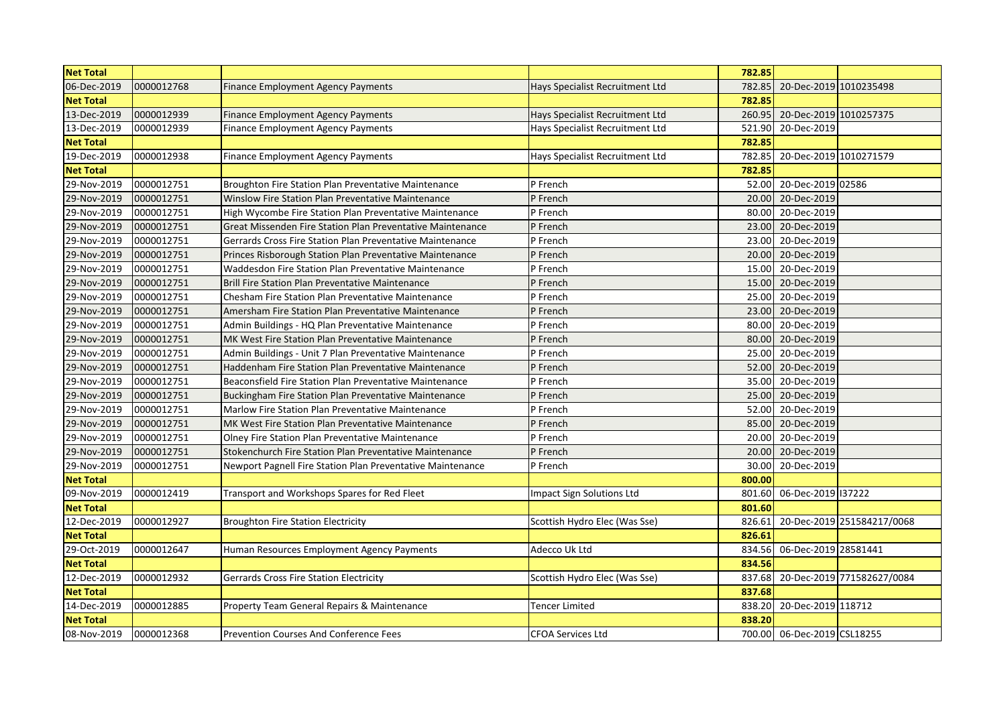| <b>Net Total</b> |            |                                                            |                                 | 782.85 |                               |                                   |
|------------------|------------|------------------------------------------------------------|---------------------------------|--------|-------------------------------|-----------------------------------|
| 06-Dec-2019      | 0000012768 | Finance Employment Agency Payments                         | Hays Specialist Recruitment Ltd | 782.85 | 20-Dec-2019 1010235498        |                                   |
| <b>Net Total</b> |            |                                                            |                                 | 782.85 |                               |                                   |
| 13-Dec-2019      | 0000012939 | Finance Employment Agency Payments                         | Hays Specialist Recruitment Ltd |        | 260.95 20-Dec-2019 1010257375 |                                   |
| 13-Dec-2019      | 0000012939 | <b>Finance Employment Agency Payments</b>                  | Hays Specialist Recruitment Ltd | 521.90 | 20-Dec-2019                   |                                   |
| <b>Net Total</b> |            |                                                            |                                 | 782.85 |                               |                                   |
| 19-Dec-2019      | 0000012938 | Finance Employment Agency Payments                         | Hays Specialist Recruitment Ltd | 782.85 | 20-Dec-2019 1010271579        |                                   |
| <b>Net Total</b> |            |                                                            |                                 | 782.85 |                               |                                   |
| 29-Nov-2019      | 0000012751 | Broughton Fire Station Plan Preventative Maintenance       | P French                        | 52.00  | 20-Dec-2019 02586             |                                   |
| 29-Nov-2019      | 0000012751 | Winslow Fire Station Plan Preventative Maintenance         | P French                        | 20.00  | 20-Dec-2019                   |                                   |
| 29-Nov-2019      | 0000012751 | High Wycombe Fire Station Plan Preventative Maintenance    | P French                        | 80.00  | 20-Dec-2019                   |                                   |
| 29-Nov-2019      | 0000012751 | Great Missenden Fire Station Plan Preventative Maintenance | P French                        |        | 23.00 20-Dec-2019             |                                   |
| 29-Nov-2019      | 0000012751 | Gerrards Cross Fire Station Plan Preventative Maintenance  | P French                        |        | 23.00 20-Dec-2019             |                                   |
| 29-Nov-2019      | 0000012751 | Princes Risborough Station Plan Preventative Maintenance   | P French                        |        | 20.00 20-Dec-2019             |                                   |
| 29-Nov-2019      | 0000012751 | Waddesdon Fire Station Plan Preventative Maintenance       | P French                        |        | 15.00 20-Dec-2019             |                                   |
| 29-Nov-2019      | 0000012751 | Brill Fire Station Plan Preventative Maintenance           | P French                        | 15.00  | 20-Dec-2019                   |                                   |
| 29-Nov-2019      | 0000012751 | Chesham Fire Station Plan Preventative Maintenance         | P French                        | 25.00  | 20-Dec-2019                   |                                   |
| 29-Nov-2019      | 0000012751 | Amersham Fire Station Plan Preventative Maintenance        | P French                        |        | 23.00 20-Dec-2019             |                                   |
| 29-Nov-2019      | 0000012751 | Admin Buildings - HQ Plan Preventative Maintenance         | P French                        | 80.00  | 20-Dec-2019                   |                                   |
| 29-Nov-2019      | 0000012751 | MK West Fire Station Plan Preventative Maintenance         | P French                        | 80.00  | 20-Dec-2019                   |                                   |
| 29-Nov-2019      | 0000012751 | Admin Buildings - Unit 7 Plan Preventative Maintenance     | P French                        |        | 25.00 20-Dec-2019             |                                   |
| 29-Nov-2019      | 0000012751 | Haddenham Fire Station Plan Preventative Maintenance       | P French                        |        | 52.00 20-Dec-2019             |                                   |
| 29-Nov-2019      | 0000012751 | Beaconsfield Fire Station Plan Preventative Maintenance    | P French                        | 35.00  | 20-Dec-2019                   |                                   |
| 29-Nov-2019      | 0000012751 | Buckingham Fire Station Plan Preventative Maintenance      | P French                        |        | 25.00 20-Dec-2019             |                                   |
| 29-Nov-2019      | 0000012751 | Marlow Fire Station Plan Preventative Maintenance          | P French                        |        | 52.00 20-Dec-2019             |                                   |
| 29-Nov-2019      | 0000012751 | MK West Fire Station Plan Preventative Maintenance         | P French                        |        | 85.00 20-Dec-2019             |                                   |
| 29-Nov-2019      | 0000012751 | Olney Fire Station Plan Preventative Maintenance           | P French                        | 20.00  | 20-Dec-2019                   |                                   |
| 29-Nov-2019      | 0000012751 | Stokenchurch Fire Station Plan Preventative Maintenance    | P French                        |        | 20.00 20-Dec-2019             |                                   |
| 29-Nov-2019      | 0000012751 | Newport Pagnell Fire Station Plan Preventative Maintenance | P French                        | 30.00  | 20-Dec-2019                   |                                   |
| <b>Net Total</b> |            |                                                            |                                 | 800.00 |                               |                                   |
| 09-Nov-2019      | 0000012419 | Transport and Workshops Spares for Red Fleet               | Impact Sign Solutions Ltd       | 801.60 | 06-Dec-2019 137222            |                                   |
| <b>Net Total</b> |            |                                                            |                                 | 801.60 |                               |                                   |
| 12-Dec-2019      | 0000012927 | <b>Broughton Fire Station Electricity</b>                  | Scottish Hydro Elec (Was Sse)   | 826.61 |                               | 20-Dec-2019 251584217/0068        |
| <b>Net Total</b> |            |                                                            |                                 | 826.61 |                               |                                   |
| 29-Oct-2019      | 0000012647 | Human Resources Employment Agency Payments                 | Adecco Uk Ltd                   | 834.56 | 06-Dec-2019 28581441          |                                   |
| <b>Net Total</b> |            |                                                            |                                 | 834.56 |                               |                                   |
| 12-Dec-2019      | 0000012932 | <b>Gerrards Cross Fire Station Electricity</b>             | Scottish Hydro Elec (Was Sse)   |        |                               | 837.68 20-Dec-2019 771582627/0084 |
| <b>Net Total</b> |            |                                                            |                                 | 837.68 |                               |                                   |
| 14-Dec-2019      | 0000012885 | Property Team General Repairs & Maintenance                | <b>Tencer Limited</b>           | 838.20 | 20-Dec-2019 118712            |                                   |
| <b>Net Total</b> |            |                                                            |                                 | 838.20 |                               |                                   |
| 08-Nov-2019      | 0000012368 | <b>Prevention Courses And Conference Fees</b>              | <b>CFOA Services Ltd</b>        |        | 700.00 06-Dec-2019 CSL18255   |                                   |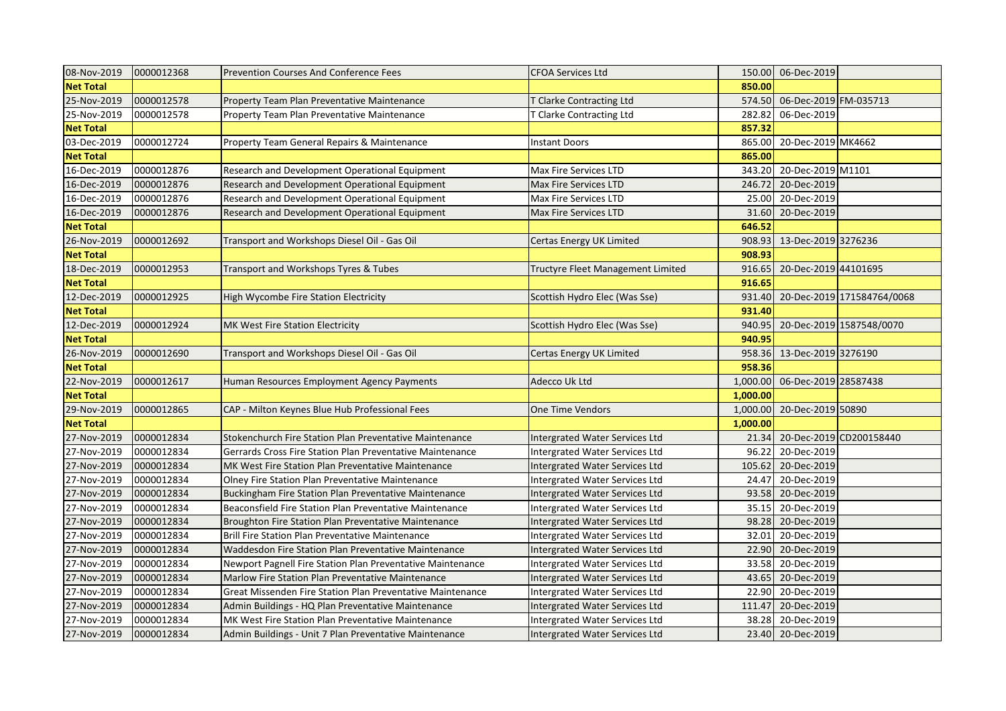| 08-Nov-2019      | 0000012368 | <b>Prevention Courses And Conference Fees</b>              | <b>CFOA Services Ltd</b>                 |          | 150.00 06-Dec-2019           |                                   |
|------------------|------------|------------------------------------------------------------|------------------------------------------|----------|------------------------------|-----------------------------------|
| <b>Net Total</b> |            |                                                            |                                          | 850.00   |                              |                                   |
| 25-Nov-2019      | 0000012578 | Property Team Plan Preventative Maintenance                | T Clarke Contracting Ltd                 |          | 574.50 06-Dec-2019 FM-035713 |                                   |
| 25-Nov-2019      | 0000012578 | Property Team Plan Preventative Maintenance                | T Clarke Contracting Ltd                 | 282.82   | 06-Dec-2019                  |                                   |
| <b>Net Total</b> |            |                                                            |                                          | 857.32   |                              |                                   |
| 03-Dec-2019      | 0000012724 | Property Team General Repairs & Maintenance                | <b>Instant Doors</b>                     | 865.00   | 20-Dec-2019 MK4662           |                                   |
| <b>Net Total</b> |            |                                                            |                                          | 865.00   |                              |                                   |
| 16-Dec-2019      | 0000012876 | Research and Development Operational Equipment             | Max Fire Services LTD                    | 343.20   | 20-Dec-2019 M1101            |                                   |
| 16-Dec-2019      | 0000012876 | Research and Development Operational Equipment             | Max Fire Services LTD                    |          | 246.72 20-Dec-2019           |                                   |
| 16-Dec-2019      | 0000012876 | Research and Development Operational Equipment             | Max Fire Services LTD                    |          | 25.00 20-Dec-2019            |                                   |
| 16-Dec-2019      | 0000012876 | Research and Development Operational Equipment             | Max Fire Services LTD                    |          | 31.60 20-Dec-2019            |                                   |
| <b>Net Total</b> |            |                                                            |                                          | 646.52   |                              |                                   |
| 26-Nov-2019      | 0000012692 | Transport and Workshops Diesel Oil - Gas Oil               | Certas Energy UK Limited                 |          | 908.93 13-Dec-2019 3276236   |                                   |
| <b>Net Total</b> |            |                                                            |                                          | 908.93   |                              |                                   |
| 18-Dec-2019      | 0000012953 | Transport and Workshops Tyres & Tubes                      | <b>Tructyre Fleet Management Limited</b> |          | 916.65 20-Dec-2019 44101695  |                                   |
| <b>Net Total</b> |            |                                                            |                                          | 916.65   |                              |                                   |
| 12-Dec-2019      | 0000012925 | High Wycombe Fire Station Electricity                      | Scottish Hydro Elec (Was Sse)            |          |                              | 931.40 20-Dec-2019 171584764/0068 |
| <b>Net Total</b> |            |                                                            |                                          | 931.40   |                              |                                   |
| 12-Dec-2019      | 0000012924 | MK West Fire Station Electricity                           | Scottish Hydro Elec (Was Sse)            | 940.95   |                              | 20-Dec-2019 1587548/0070          |
| <b>Net Total</b> |            |                                                            |                                          | 940.95   |                              |                                   |
| 26-Nov-2019      | 0000012690 | Transport and Workshops Diesel Oil - Gas Oil               | Certas Energy UK Limited                 |          | 958.36 13-Dec-2019 3276190   |                                   |
| <b>Net Total</b> |            |                                                            |                                          | 958.36   |                              |                                   |
| 22-Nov-2019      | 0000012617 | Human Resources Employment Agency Payments                 | Adecco Uk Ltd                            | 1,000.00 | 06-Dec-2019 28587438         |                                   |
| <b>Net Total</b> |            |                                                            |                                          | 1,000.00 |                              |                                   |
| 29-Nov-2019      | 0000012865 | CAP - Milton Keynes Blue Hub Professional Fees             | One Time Vendors                         |          | 1,000.00 20-Dec-2019 50890   |                                   |
| <b>Net Total</b> |            |                                                            |                                          | 1,000.00 |                              |                                   |
| 27-Nov-2019      | 0000012834 | Stokenchurch Fire Station Plan Preventative Maintenance    | Intergrated Water Services Ltd           |          |                              | 21.34 20-Dec-2019 CD200158440     |
| 27-Nov-2019      | 0000012834 | Gerrards Cross Fire Station Plan Preventative Maintenance  | Intergrated Water Services Ltd           | 96.22    | 20-Dec-2019                  |                                   |
| 27-Nov-2019      | 0000012834 | MK West Fire Station Plan Preventative Maintenance         | Intergrated Water Services Ltd           | 105.62   | 20-Dec-2019                  |                                   |
| 27-Nov-2019      | 0000012834 | Olney Fire Station Plan Preventative Maintenance           | Intergrated Water Services Ltd           | 24.47    | 20-Dec-2019                  |                                   |
| 27-Nov-2019      | 0000012834 | Buckingham Fire Station Plan Preventative Maintenance      | Intergrated Water Services Ltd           |          | 93.58 20-Dec-2019            |                                   |
| 27-Nov-2019      | 0000012834 | Beaconsfield Fire Station Plan Preventative Maintenance    | <b>Intergrated Water Services Ltd</b>    |          | 35.15 20-Dec-2019            |                                   |
| 27-Nov-2019      | 0000012834 | Broughton Fire Station Plan Preventative Maintenance       | <b>Intergrated Water Services Ltd</b>    |          | 98.28 20-Dec-2019            |                                   |
| 27-Nov-2019      | 0000012834 | Brill Fire Station Plan Preventative Maintenance           | Intergrated Water Services Ltd           |          | 32.01 20-Dec-2019            |                                   |
| 27-Nov-2019      | 0000012834 | Waddesdon Fire Station Plan Preventative Maintenance       | Intergrated Water Services Ltd           |          | 22.90 20-Dec-2019            |                                   |
| 27-Nov-2019      | 0000012834 | Newport Pagnell Fire Station Plan Preventative Maintenance | Intergrated Water Services Ltd           |          | 33.58 20-Dec-2019            |                                   |
| 27-Nov-2019      | 0000012834 | Marlow Fire Station Plan Preventative Maintenance          | Intergrated Water Services Ltd           |          | 43.65 20-Dec-2019            |                                   |
| 27-Nov-2019      | 0000012834 | Great Missenden Fire Station Plan Preventative Maintenance | <b>Intergrated Water Services Ltd</b>    |          | 22.90 20-Dec-2019            |                                   |
| 27-Nov-2019      | 0000012834 | Admin Buildings - HQ Plan Preventative Maintenance         | Intergrated Water Services Ltd           | 111.47   | 20-Dec-2019                  |                                   |
| 27-Nov-2019      | 0000012834 | MK West Fire Station Plan Preventative Maintenance         | Intergrated Water Services Ltd           |          | 38.28 20-Dec-2019            |                                   |
| 27-Nov-2019      | 0000012834 | Admin Buildings - Unit 7 Plan Preventative Maintenance     | Intergrated Water Services Ltd           |          | 23.40 20-Dec-2019            |                                   |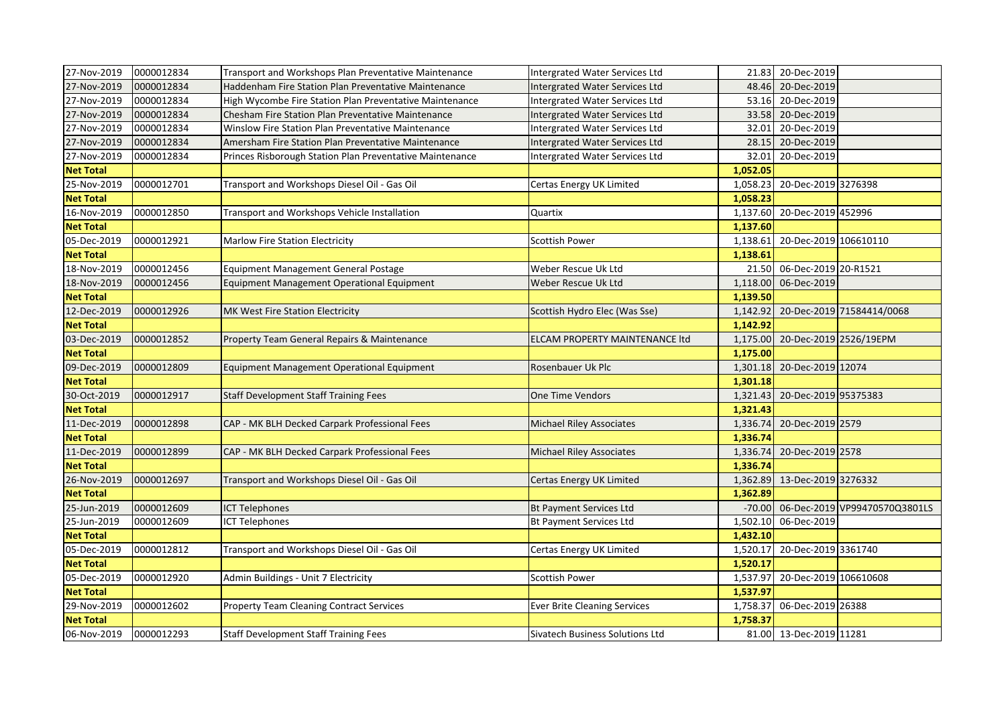| 27-Nov-2019      | 0000012834 | Transport and Workshops Plan Preventative Maintenance    | <b>Intergrated Water Services Ltd</b> |          | 21.83 20-Dec-2019               |                               |
|------------------|------------|----------------------------------------------------------|---------------------------------------|----------|---------------------------------|-------------------------------|
| 27-Nov-2019      | 0000012834 | Haddenham Fire Station Plan Preventative Maintenance     | Intergrated Water Services Ltd        | 48.46    | 20-Dec-2019                     |                               |
| 27-Nov-2019      | 0000012834 | High Wycombe Fire Station Plan Preventative Maintenance  | <b>Intergrated Water Services Ltd</b> | 53.16    | 20-Dec-2019                     |                               |
| 27-Nov-2019      | 0000012834 | Chesham Fire Station Plan Preventative Maintenance       | <b>Intergrated Water Services Ltd</b> | 33.58    | 20-Dec-2019                     |                               |
| 27-Nov-2019      | 0000012834 | Winslow Fire Station Plan Preventative Maintenance       | <b>Intergrated Water Services Ltd</b> | 32.01    | 20-Dec-2019                     |                               |
| 27-Nov-2019      | 0000012834 | Amersham Fire Station Plan Preventative Maintenance      | <b>Intergrated Water Services Ltd</b> | 28.15    | 20-Dec-2019                     |                               |
| 27-Nov-2019      | 0000012834 | Princes Risborough Station Plan Preventative Maintenance | Intergrated Water Services Ltd        | 32.01    | 20-Dec-2019                     |                               |
| <b>Net Total</b> |            |                                                          |                                       | 1,052.05 |                                 |                               |
| 25-Nov-2019      | 0000012701 | Transport and Workshops Diesel Oil - Gas Oil             | Certas Energy UK Limited              | 1,058.23 | 20-Dec-2019 3276398             |                               |
| <b>Net Total</b> |            |                                                          |                                       | 1,058.23 |                                 |                               |
| 16-Nov-2019      | 0000012850 | Transport and Workshops Vehicle Installation             | Quartix                               |          | 1,137.60 20-Dec-2019 452996     |                               |
| <b>Net Total</b> |            |                                                          |                                       | 1,137.60 |                                 |                               |
| 05-Dec-2019      | 0000012921 | Marlow Fire Station Electricity                          | <b>Scottish Power</b>                 | 1,138.61 | 20-Dec-2019 106610110           |                               |
| <b>Net Total</b> |            |                                                          |                                       | 1,138.61 |                                 |                               |
| 18-Nov-2019      | 0000012456 | <b>Equipment Management General Postage</b>              | Weber Rescue Uk Ltd                   | 21.50    | 06-Dec-2019 20-R1521            |                               |
| 18-Nov-2019      | 0000012456 | Equipment Management Operational Equipment               | Weber Rescue Uk Ltd                   | 1,118.00 | 06-Dec-2019                     |                               |
| <b>Net Total</b> |            |                                                          |                                       | 1,139.50 |                                 |                               |
| 12-Dec-2019      | 0000012926 | MK West Fire Station Electricity                         | Scottish Hydro Elec (Was Sse)         | 1,142.92 |                                 | 20-Dec-2019 71584414/0068     |
| <b>Net Total</b> |            |                                                          |                                       | 1,142.92 |                                 |                               |
| 03-Dec-2019      | 0000012852 | Property Team General Repairs & Maintenance              | ELCAM PROPERTY MAINTENANCE Itd        |          | 1,175.00 20-Dec-2019 2526/19EPM |                               |
| <b>Net Total</b> |            |                                                          |                                       | 1,175.00 |                                 |                               |
| 09-Dec-2019      | 0000012809 | Equipment Management Operational Equipment               | Rosenbauer Uk Plc                     | 1,301.18 | 20-Dec-2019 12074               |                               |
| <b>Net Total</b> |            |                                                          |                                       | 1,301.18 |                                 |                               |
| 30-Oct-2019      | 0000012917 | <b>Staff Development Staff Training Fees</b>             | One Time Vendors                      | 1,321.43 | 20-Dec-2019 95375383            |                               |
| <b>Net Total</b> |            |                                                          |                                       | 1,321.43 |                                 |                               |
| 11-Dec-2019      | 0000012898 | CAP - MK BLH Decked Carpark Professional Fees            | <b>Michael Riley Associates</b>       | 1,336.74 | 20-Dec-2019 2579                |                               |
| <b>Net Total</b> |            |                                                          |                                       | 1,336.74 |                                 |                               |
| 11-Dec-2019      | 0000012899 | CAP - MK BLH Decked Carpark Professional Fees            | <b>Michael Riley Associates</b>       | 1,336.74 | 20-Dec-2019 2578                |                               |
| <b>Net Total</b> |            |                                                          |                                       | 1,336.74 |                                 |                               |
| 26-Nov-2019      | 0000012697 | Transport and Workshops Diesel Oil - Gas Oil             | Certas Energy UK Limited              | 1,362.89 | 13-Dec-2019 3276332             |                               |
| <b>Net Total</b> |            |                                                          |                                       | 1,362.89 |                                 |                               |
| 25-Jun-2019      | 0000012609 | <b>ICT Telephones</b>                                    | <b>Bt Payment Services Ltd</b>        | $-70.00$ |                                 | 06-Dec-2019 VP99470570Q3801LS |
| 25-Jun-2019      | 0000012609 | <b>ICT Telephones</b>                                    | <b>Bt Payment Services Ltd</b>        | 1,502.10 | 06-Dec-2019                     |                               |
| <b>Net Total</b> |            |                                                          |                                       | 1,432.10 |                                 |                               |
| 05-Dec-2019      | 0000012812 | Transport and Workshops Diesel Oil - Gas Oil             | Certas Energy UK Limited              | 1,520.17 | 20-Dec-2019 3361740             |                               |
| <b>Net Total</b> |            |                                                          |                                       | 1,520.17 |                                 |                               |
| 05-Dec-2019      | 0000012920 | Admin Buildings - Unit 7 Electricity                     | <b>Scottish Power</b>                 | 1,537.97 | 20-Dec-2019 106610608           |                               |
| <b>Net Total</b> |            |                                                          |                                       | 1,537.97 |                                 |                               |
| 29-Nov-2019      | 0000012602 | <b>Property Team Cleaning Contract Services</b>          | <b>Ever Brite Cleaning Services</b>   | 1,758.37 | 06-Dec-2019 26388               |                               |
| <b>Net Total</b> |            |                                                          |                                       | 1,758.37 |                                 |                               |
| 06-Nov-2019      | 0000012293 | <b>Staff Development Staff Training Fees</b>             | Sivatech Business Solutions Ltd       |          | 81.00 13-Dec-2019 11281         |                               |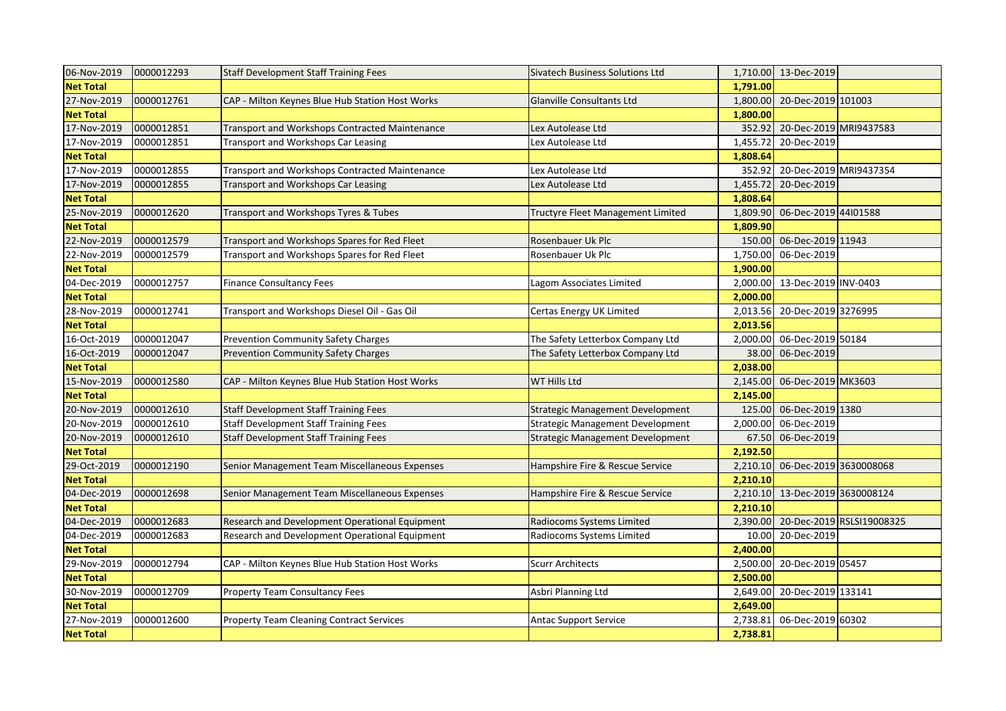| 06-Nov-2019      | 0000012293 | <b>Staff Development Staff Training Fees</b>    | <b>Sivatech Business Solutions Ltd</b>  |          | 1,710.00 13-Dec-2019            |                           |
|------------------|------------|-------------------------------------------------|-----------------------------------------|----------|---------------------------------|---------------------------|
| <b>Net Total</b> |            |                                                 |                                         | 1,791.00 |                                 |                           |
| 27-Nov-2019      | 0000012761 | CAP - Milton Keynes Blue Hub Station Host Works | Glanville Consultants Ltd               | 1,800.00 | 20-Dec-2019 101003              |                           |
| <b>Net Total</b> |            |                                                 |                                         | 1,800.00 |                                 |                           |
| 17-Nov-2019      | 0000012851 | Transport and Workshops Contracted Maintenance  | Lex Autolease Ltd                       |          | 352.92 20-Dec-2019 MRI9437583   |                           |
| 17-Nov-2019      | 0000012851 | Transport and Workshops Car Leasing             | Lex Autolease Ltd                       | 1,455.72 | 20-Dec-2019                     |                           |
| <b>Net Total</b> |            |                                                 |                                         | 1,808.64 |                                 |                           |
| 17-Nov-2019      | 0000012855 | Transport and Workshops Contracted Maintenance  | Lex Autolease Ltd                       | 352.92   | 20-Dec-2019 MRI9437354          |                           |
| 17-Nov-2019      | 0000012855 | Transport and Workshops Car Leasing             | Lex Autolease Ltd                       | 1,455.72 | 20-Dec-2019                     |                           |
| <b>Net Total</b> |            |                                                 |                                         | 1,808.64 |                                 |                           |
| 25-Nov-2019      | 0000012620 | Transport and Workshops Tyres & Tubes           | Tructyre Fleet Management Limited       | 1,809.90 | 06-Dec-2019 44101588            |                           |
| <b>Net Total</b> |            |                                                 |                                         | 1,809.90 |                                 |                           |
| 22-Nov-2019      | 0000012579 | Transport and Workshops Spares for Red Fleet    | Rosenbauer Uk Plc                       | 150.00   | 06-Dec-2019 11943               |                           |
| 22-Nov-2019      | 0000012579 | Transport and Workshops Spares for Red Fleet    | Rosenbauer Uk Plc                       | 1,750.00 | 06-Dec-2019                     |                           |
| <b>Net Total</b> |            |                                                 |                                         | 1,900.00 |                                 |                           |
| 04-Dec-2019      | 0000012757 | <b>Finance Consultancy Fees</b>                 | Lagom Associates Limited                |          | 2,000.00 13-Dec-2019 INV-0403   |                           |
| <b>Net Total</b> |            |                                                 |                                         | 2,000.00 |                                 |                           |
| 28-Nov-2019      | 0000012741 | Transport and Workshops Diesel Oil - Gas Oil    | Certas Energy UK Limited                |          | 2,013.56 20-Dec-2019 3276995    |                           |
| <b>Net Total</b> |            |                                                 |                                         | 2,013.56 |                                 |                           |
| 16-Oct-2019      | 0000012047 | Prevention Community Safety Charges             | The Safety Letterbox Company Ltd        | 2,000.00 | 06-Dec-2019 50184               |                           |
| 16-Oct-2019      | 0000012047 | <b>Prevention Community Safety Charges</b>      | The Safety Letterbox Company Ltd        | 38.00    | 06-Dec-2019                     |                           |
| <b>Net Total</b> |            |                                                 |                                         | 2,038.00 |                                 |                           |
| 15-Nov-2019      | 0000012580 | CAP - Milton Keynes Blue Hub Station Host Works | WT Hills Ltd                            | 2,145.00 | 06-Dec-2019 MK3603              |                           |
| <b>Net Total</b> |            |                                                 |                                         | 2,145.00 |                                 |                           |
| 20-Nov-2019      | 0000012610 | <b>Staff Development Staff Training Fees</b>    | <b>Strategic Management Development</b> | 125.00   | 06-Dec-2019 1380                |                           |
| 20-Nov-2019      | 0000012610 | Staff Development Staff Training Fees           | Strategic Management Development        | 2,000.00 | 06-Dec-2019                     |                           |
| 20-Nov-2019      | 0000012610 | <b>Staff Development Staff Training Fees</b>    | <b>Strategic Management Development</b> | 67.50    | 06-Dec-2019                     |                           |
| <b>Net Total</b> |            |                                                 |                                         | 2,192.50 |                                 |                           |
| 29-Oct-2019      | 0000012190 | Senior Management Team Miscellaneous Expenses   | Hampshire Fire & Rescue Service         | 2,210.10 | 06-Dec-2019 3630008068          |                           |
| <b>Net Total</b> |            |                                                 |                                         | 2,210.10 |                                 |                           |
| 04-Dec-2019      | 0000012698 | Senior Management Team Miscellaneous Expenses   | Hampshire Fire & Rescue Service         |          | 2,210.10 13-Dec-2019 3630008124 |                           |
| <b>Net Total</b> |            |                                                 |                                         | 2,210.10 |                                 |                           |
| 04-Dec-2019      | 0000012683 | Research and Development Operational Equipment  | Radiocoms Systems Limited               | 2,390.00 |                                 | 20-Dec-2019 RSLSI19008325 |
| 04-Dec-2019      | 0000012683 | Research and Development Operational Equipment  | Radiocoms Systems Limited               | 10.00    | 20-Dec-2019                     |                           |
| <b>Net Total</b> |            |                                                 |                                         | 2,400.00 |                                 |                           |
| 29-Nov-2019      | 0000012794 | CAP - Milton Keynes Blue Hub Station Host Works | Scurr Architects                        | 2,500.00 | 20-Dec-2019 05457               |                           |
| <b>Net Total</b> |            |                                                 |                                         | 2,500.00 |                                 |                           |
| 30-Nov-2019      | 0000012709 | <b>Property Team Consultancy Fees</b>           | Asbri Planning Ltd                      | 2,649.00 | 20-Dec-2019 133141              |                           |
| <b>Net Total</b> |            |                                                 |                                         | 2,649.00 |                                 |                           |
| 27-Nov-2019      | 0000012600 | <b>Property Team Cleaning Contract Services</b> | Antac Support Service                   | 2,738.81 | 06-Dec-2019 60302               |                           |
| <b>Net Total</b> |            |                                                 |                                         | 2,738.81 |                                 |                           |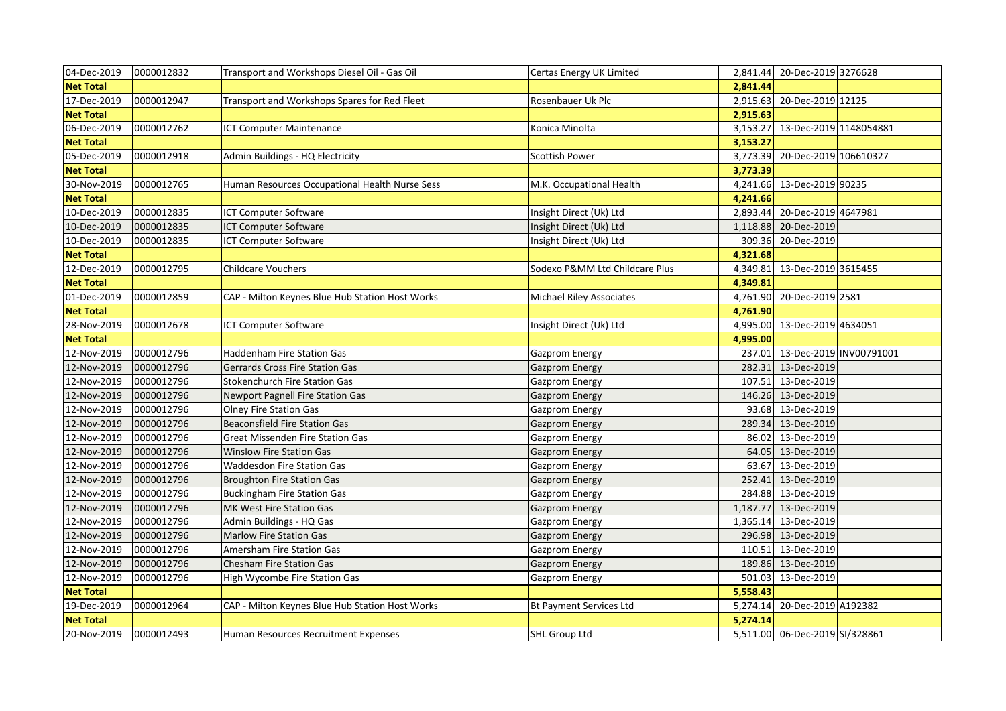| 04-Dec-2019      | 0000012832 | Transport and Workshops Diesel Oil - Gas Oil    | Certas Energy UK Limited       |          | 2,841.44 20-Dec-2019 3276628   |  |
|------------------|------------|-------------------------------------------------|--------------------------------|----------|--------------------------------|--|
| <b>Net Total</b> |            |                                                 |                                | 2,841.44 |                                |  |
| 17-Dec-2019      | 0000012947 | Transport and Workshops Spares for Red Fleet    | Rosenbauer Uk Plc              |          | 2,915.63 20-Dec-2019 12125     |  |
| <b>Net Total</b> |            |                                                 |                                | 2,915.63 |                                |  |
| 06-Dec-2019      | 0000012762 | ICT Computer Maintenance                        | Konica Minolta                 | 3,153.27 | 13-Dec-2019 1148054881         |  |
| <b>Net Total</b> |            |                                                 |                                | 3,153.27 |                                |  |
| 05-Dec-2019      | 0000012918 | Admin Buildings - HQ Electricity                | Scottish Power                 | 3,773.39 | 20-Dec-2019 106610327          |  |
| <b>Net Total</b> |            |                                                 |                                | 3,773.39 |                                |  |
| 30-Nov-2019      | 0000012765 | Human Resources Occupational Health Nurse Sess  | M.K. Occupational Health       |          | 4,241.66 13-Dec-2019 90235     |  |
| <b>Net Total</b> |            |                                                 |                                | 4,241.66 |                                |  |
| 10-Dec-2019      | 0000012835 | <b>ICT Computer Software</b>                    | Insight Direct (Uk) Ltd        | 2,893.44 | 20-Dec-2019 4647981            |  |
| 10-Dec-2019      | 0000012835 | <b>ICT Computer Software</b>                    | Insight Direct (Uk) Ltd        | 1,118.88 | 20-Dec-2019                    |  |
| 10-Dec-2019      | 0000012835 | ICT Computer Software                           | Insight Direct (Uk) Ltd        | 309.36   | 20-Dec-2019                    |  |
| <b>Net Total</b> |            |                                                 |                                | 4,321.68 |                                |  |
| 12-Dec-2019      | 0000012795 | Childcare Vouchers                              | Sodexo P&MM Ltd Childcare Plus | 4,349.81 | 13-Dec-2019 3615455            |  |
| <b>Net Total</b> |            |                                                 |                                | 4,349.81 |                                |  |
| 01-Dec-2019      | 0000012859 | CAP - Milton Keynes Blue Hub Station Host Works | Michael Riley Associates       | 4,761.90 | 20-Dec-2019 2581               |  |
| <b>Net Total</b> |            |                                                 |                                | 4,761.90 |                                |  |
| 28-Nov-2019      | 0000012678 | <b>ICT Computer Software</b>                    | Insight Direct (Uk) Ltd        |          | 4,995.00 13-Dec-2019 4634051   |  |
| <b>Net Total</b> |            |                                                 |                                | 4,995.00 |                                |  |
| 12-Nov-2019      | 0000012796 | <b>Haddenham Fire Station Gas</b>               | <b>Gazprom Energy</b>          |          | 237.01 13-Dec-2019 INV00791001 |  |
| 12-Nov-2019      | 0000012796 | <b>Gerrards Cross Fire Station Gas</b>          | Gazprom Energy                 |          | 282.31 13-Dec-2019             |  |
| 12-Nov-2019      | 0000012796 | <b>Stokenchurch Fire Station Gas</b>            | Gazprom Energy                 |          | 107.51 13-Dec-2019             |  |
| 12-Nov-2019      | 0000012796 | <b>Newport Pagnell Fire Station Gas</b>         | <b>Gazprom Energy</b>          |          | 146.26 13-Dec-2019             |  |
| 12-Nov-2019      | 0000012796 | <b>Olney Fire Station Gas</b>                   | Gazprom Energy                 |          | 93.68 13-Dec-2019              |  |
| 12-Nov-2019      | 0000012796 | <b>Beaconsfield Fire Station Gas</b>            | Gazprom Energy                 | 289.34   | 13-Dec-2019                    |  |
| 12-Nov-2019      | 0000012796 | <b>Great Missenden Fire Station Gas</b>         | Gazprom Energy                 | 86.02    | 13-Dec-2019                    |  |
| 12-Nov-2019      | 0000012796 | <b>Winslow Fire Station Gas</b>                 | Gazprom Energy                 |          | 64.05 13-Dec-2019              |  |
| 12-Nov-2019      | 0000012796 | <b>Waddesdon Fire Station Gas</b>               | Gazprom Energy                 |          | 63.67 13-Dec-2019              |  |
| 12-Nov-2019      | 0000012796 | <b>Broughton Fire Station Gas</b>               | <b>Gazprom Energy</b>          |          | 252.41 13-Dec-2019             |  |
| 12-Nov-2019      | 0000012796 | <b>Buckingham Fire Station Gas</b>              | Gazprom Energy                 |          | 284.88 13-Dec-2019             |  |
| 12-Nov-2019      | 0000012796 | MK West Fire Station Gas                        | <b>Gazprom Energy</b>          |          | 1,187.77 13-Dec-2019           |  |
| 12-Nov-2019      | 0000012796 | Admin Buildings - HQ Gas                        | Gazprom Energy                 | 1,365.14 | 13-Dec-2019                    |  |
| 12-Nov-2019      | 0000012796 | <b>Marlow Fire Station Gas</b>                  | Gazprom Energy                 |          | 296.98 13-Dec-2019             |  |
| 12-Nov-2019      | 0000012796 | Amersham Fire Station Gas                       | Gazprom Energy                 |          | 110.51 13-Dec-2019             |  |
| 12-Nov-2019      | 0000012796 | <b>Chesham Fire Station Gas</b>                 | <b>Gazprom Energy</b>          |          | 189.86 13-Dec-2019             |  |
| 12-Nov-2019      | 0000012796 | High Wycombe Fire Station Gas                   | Gazprom Energy                 | 501.03   | 13-Dec-2019                    |  |
| <b>Net Total</b> |            |                                                 |                                | 5,558.43 |                                |  |
| 19-Dec-2019      | 0000012964 | CAP - Milton Keynes Blue Hub Station Host Works | Bt Payment Services Ltd        | 5,274.14 | 20-Dec-2019 A192382            |  |
| <b>Net Total</b> |            |                                                 |                                | 5,274.14 |                                |  |
| 20-Nov-2019      | 0000012493 | Human Resources Recruitment Expenses            | <b>SHL Group Ltd</b>           |          | 5,511.00 06-Dec-2019 SI/328861 |  |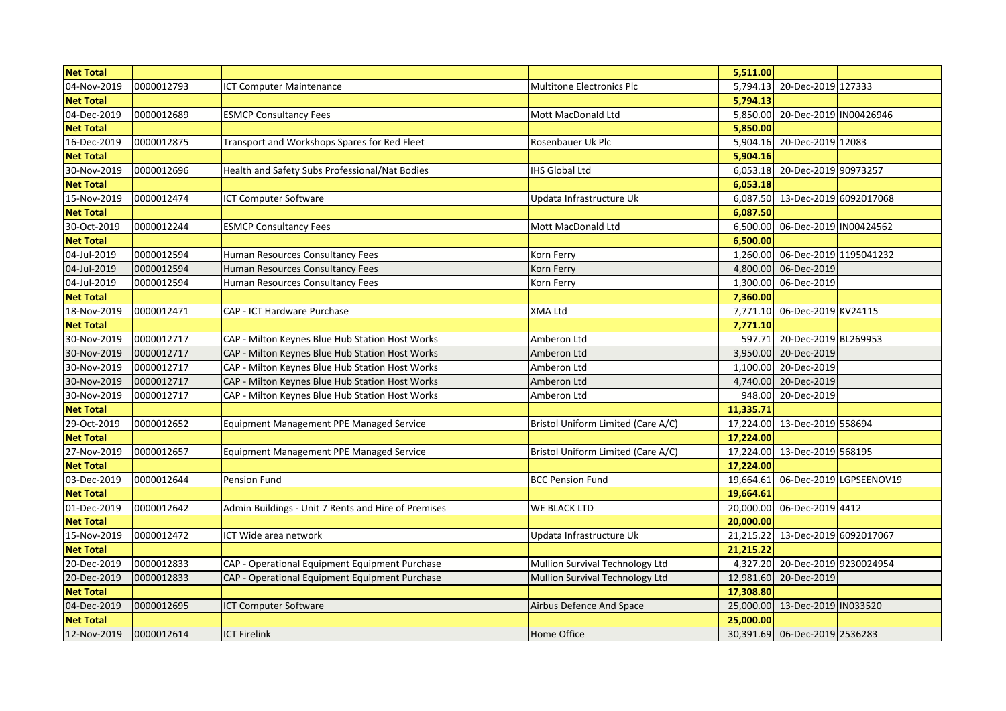| <b>Net Total</b> |            |                                                     |                                    | 5,511.00  |                               |                         |
|------------------|------------|-----------------------------------------------------|------------------------------------|-----------|-------------------------------|-------------------------|
| 04-Nov-2019      | 0000012793 | <b>ICT Computer Maintenance</b>                     | <b>Multitone Electronics Plc</b>   | 5,794.13  | 20-Dec-2019 127333            |                         |
| <b>Net Total</b> |            |                                                     |                                    | 5,794.13  |                               |                         |
| 04-Dec-2019      | 0000012689 | <b>ESMCP Consultancy Fees</b>                       | Mott MacDonald Ltd                 | 5,850.00  | 20-Dec-2019 IN00426946        |                         |
| <b>Net Total</b> |            |                                                     |                                    | 5,850.00  |                               |                         |
| 16-Dec-2019      | 0000012875 | Transport and Workshops Spares for Red Fleet        | Rosenbauer Uk Plc                  | 5,904.16  | 20-Dec-2019 12083             |                         |
| <b>Net Total</b> |            |                                                     |                                    | 5,904.16  |                               |                         |
| 30-Nov-2019      | 0000012696 | Health and Safety Subs Professional/Nat Bodies      | <b>IHS Global Ltd</b>              | 6,053.18  | 20-Dec-2019 90973257          |                         |
| <b>Net Total</b> |            |                                                     |                                    | 6,053.18  |                               |                         |
| 15-Nov-2019      | 0000012474 | <b>ICT Computer Software</b>                        | Updata Infrastructure Uk           | 6,087.50  | 13-Dec-2019 6092017068        |                         |
| <b>Net Total</b> |            |                                                     |                                    | 6,087.50  |                               |                         |
| 30-Oct-2019      | 0000012244 | <b>ESMCP Consultancy Fees</b>                       | Mott MacDonald Ltd                 | 6,500.00  | 06-Dec-2019 IN00424562        |                         |
| <b>Net Total</b> |            |                                                     |                                    | 6,500.00  |                               |                         |
| 04-Jul-2019      | 0000012594 | Human Resources Consultancy Fees                    | Korn Ferry                         | 1,260.00  | 06-Dec-2019 1195041232        |                         |
| 04-Jul-2019      | 0000012594 | Human Resources Consultancy Fees                    | Korn Ferry                         | 4,800.00  | 06-Dec-2019                   |                         |
| 04-Jul-2019      | 0000012594 | Human Resources Consultancy Fees                    | Korn Ferry                         | 1,300.00  | 06-Dec-2019                   |                         |
| <b>Net Total</b> |            |                                                     |                                    | 7,360.00  |                               |                         |
| 18-Nov-2019      | 0000012471 | CAP - ICT Hardware Purchase                         | XMA Ltd                            | 7,771.10  | 06-Dec-2019 KV24115           |                         |
| <b>Net Total</b> |            |                                                     |                                    | 7,771.10  |                               |                         |
| 30-Nov-2019      | 0000012717 | CAP - Milton Keynes Blue Hub Station Host Works     | Amberon Ltd                        | 597.71    | 20-Dec-2019 BL269953          |                         |
| 30-Nov-2019      | 0000012717 | CAP - Milton Keynes Blue Hub Station Host Works     | Amberon Ltd                        | 3,950.00  | 20-Dec-2019                   |                         |
| 30-Nov-2019      | 0000012717 | CAP - Milton Keynes Blue Hub Station Host Works     | Amberon Ltd                        | 1,100.00  | 20-Dec-2019                   |                         |
| 30-Nov-2019      | 0000012717 | CAP - Milton Keynes Blue Hub Station Host Works     | Amberon Ltd                        | 4,740.00  | 20-Dec-2019                   |                         |
| 30-Nov-2019      | 0000012717 | CAP - Milton Keynes Blue Hub Station Host Works     | Amberon Ltd                        | 948.00    | 20-Dec-2019                   |                         |
| <b>Net Total</b> |            |                                                     |                                    | 11,335.71 |                               |                         |
| 29-Oct-2019      | 0000012652 | Equipment Management PPE Managed Service            | Bristol Uniform Limited (Care A/C) | 17,224.00 | 13-Dec-2019 558694            |                         |
| <b>Net Total</b> |            |                                                     |                                    | 17,224.00 |                               |                         |
| 27-Nov-2019      | 0000012657 | Equipment Management PPE Managed Service            | Bristol Uniform Limited (Care A/C) | 17,224.00 | 13-Dec-2019 568195            |                         |
| <b>Net Total</b> |            |                                                     |                                    | 17,224.00 |                               |                         |
| 03-Dec-2019      | 0000012644 | Pension Fund                                        | <b>BCC Pension Fund</b>            | 19,664.61 |                               | 06-Dec-2019 LGPSEENOV19 |
| <b>Net Total</b> |            |                                                     |                                    | 19,664.61 |                               |                         |
| 01-Dec-2019      | 0000012642 | Admin Buildings - Unit 7 Rents and Hire of Premises | <b>WE BLACK LTD</b>                | 20,000.00 | 06-Dec-2019 4412              |                         |
| <b>Net Total</b> |            |                                                     |                                    | 20,000.00 |                               |                         |
| 15-Nov-2019      | 0000012472 | ICT Wide area network                               | Updata Infrastructure Uk           | 21,215.22 | 13-Dec-2019 6092017067        |                         |
| <b>Net Total</b> |            |                                                     |                                    | 21,215.22 |                               |                         |
| 20-Dec-2019      | 0000012833 | CAP - Operational Equipment Equipment Purchase      | Mullion Survival Technology Ltd    | 4,327.20  | 20-Dec-2019 9230024954        |                         |
| 20-Dec-2019      | 0000012833 | CAP - Operational Equipment Equipment Purchase      | Mullion Survival Technology Ltd    | 12,981.60 | 20-Dec-2019                   |                         |
| <b>Net Total</b> |            |                                                     |                                    | 17,308.80 |                               |                         |
| 04-Dec-2019      | 0000012695 | ICT Computer Software                               | Airbus Defence And Space           | 25,000.00 | 13-Dec-2019 IN033520          |                         |
| <b>Net Total</b> |            |                                                     |                                    | 25,000.00 |                               |                         |
| 12-Nov-2019      | 0000012614 | <b>ICT Firelink</b>                                 | <b>Home Office</b>                 |           | 30,391.69 06-Dec-2019 2536283 |                         |